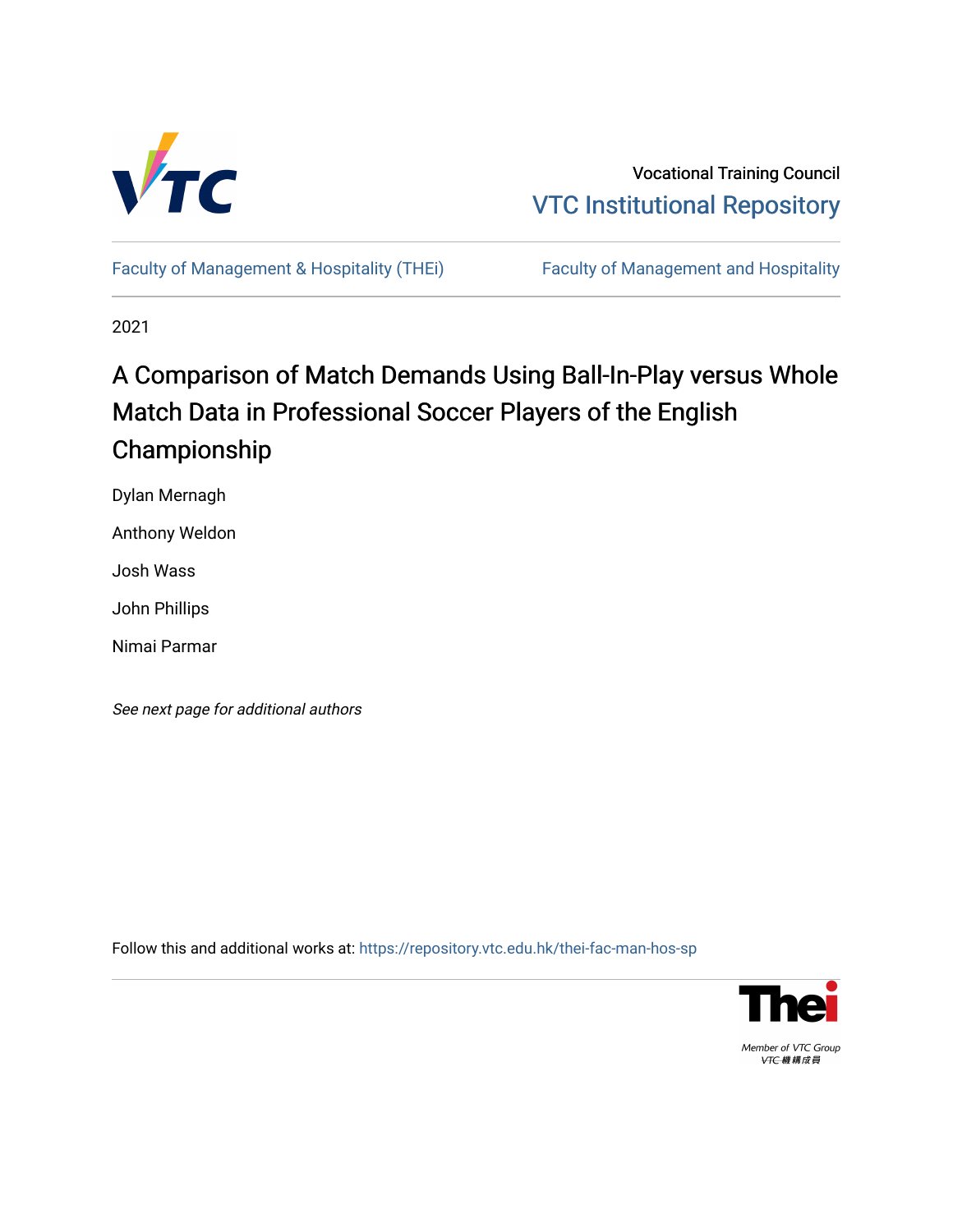

Vocational Training Council [VTC Institutional Repository](https://repository.vtc.edu.hk/) 

[Faculty of Management & Hospitality \(THEi\)](https://repository.vtc.edu.hk/thei-fac-man-hos-sp) Faculty of Management and Hospitality

2021

# A Comparison of Match Demands Using Ball-In-Play versus Whole Match Data in Professional Soccer Players of the English Championship

Dylan Mernagh

Anthony Weldon

Josh Wass

John Phillips

Nimai Parmar

See next page for additional authors

Follow this and additional works at: [https://repository.vtc.edu.hk/thei-fac-man-hos-sp](https://repository.vtc.edu.hk/thei-fac-man-hos-sp?utm_source=repository.vtc.edu.hk%2Fthei-fac-man-hos-sp%2F178&utm_medium=PDF&utm_campaign=PDFCoverPages)



Member of VTC Group VTC機構成員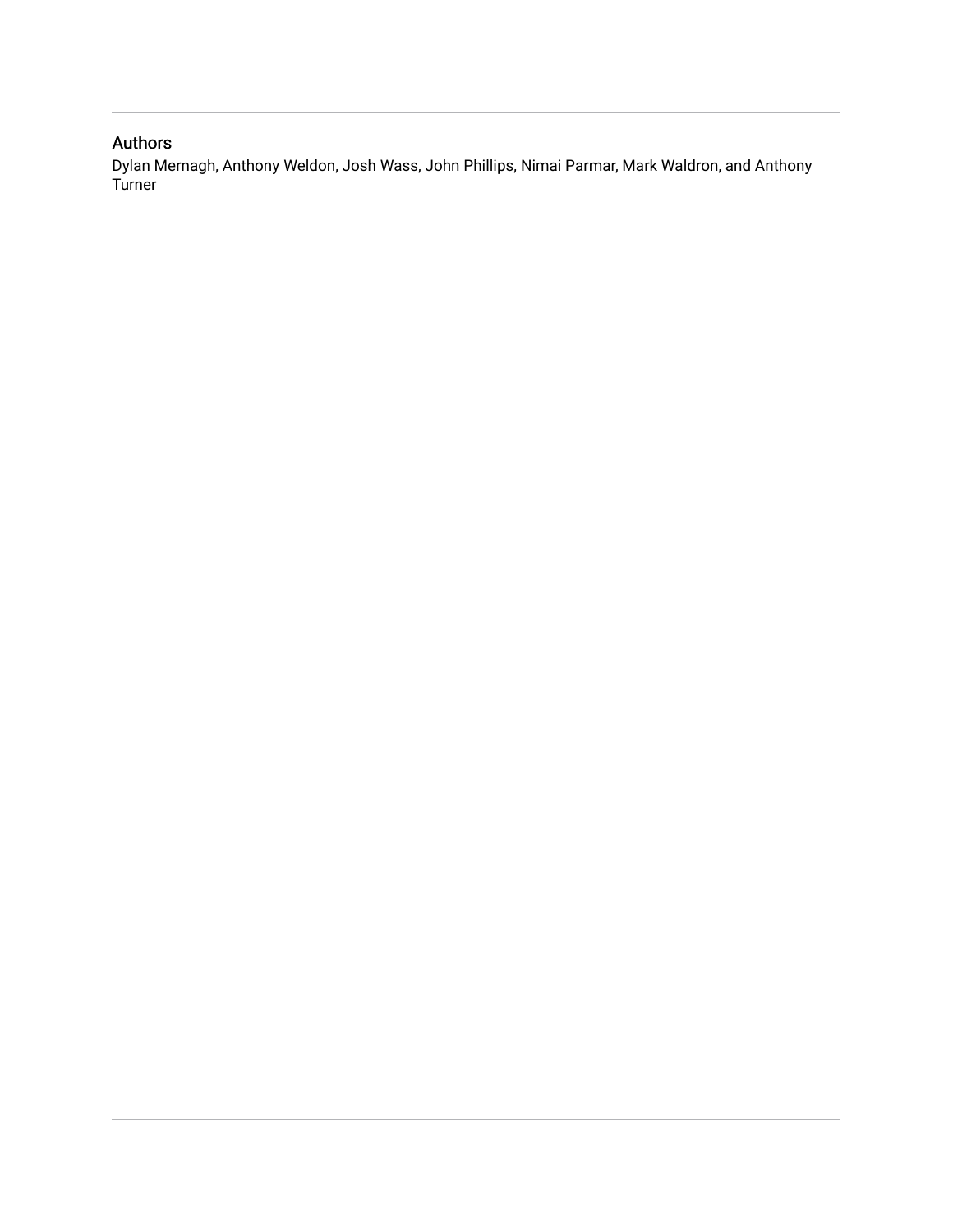### Authors

Dylan Mernagh, Anthony Weldon, Josh Wass, John Phillips, Nimai Parmar, Mark Waldron, and Anthony Turner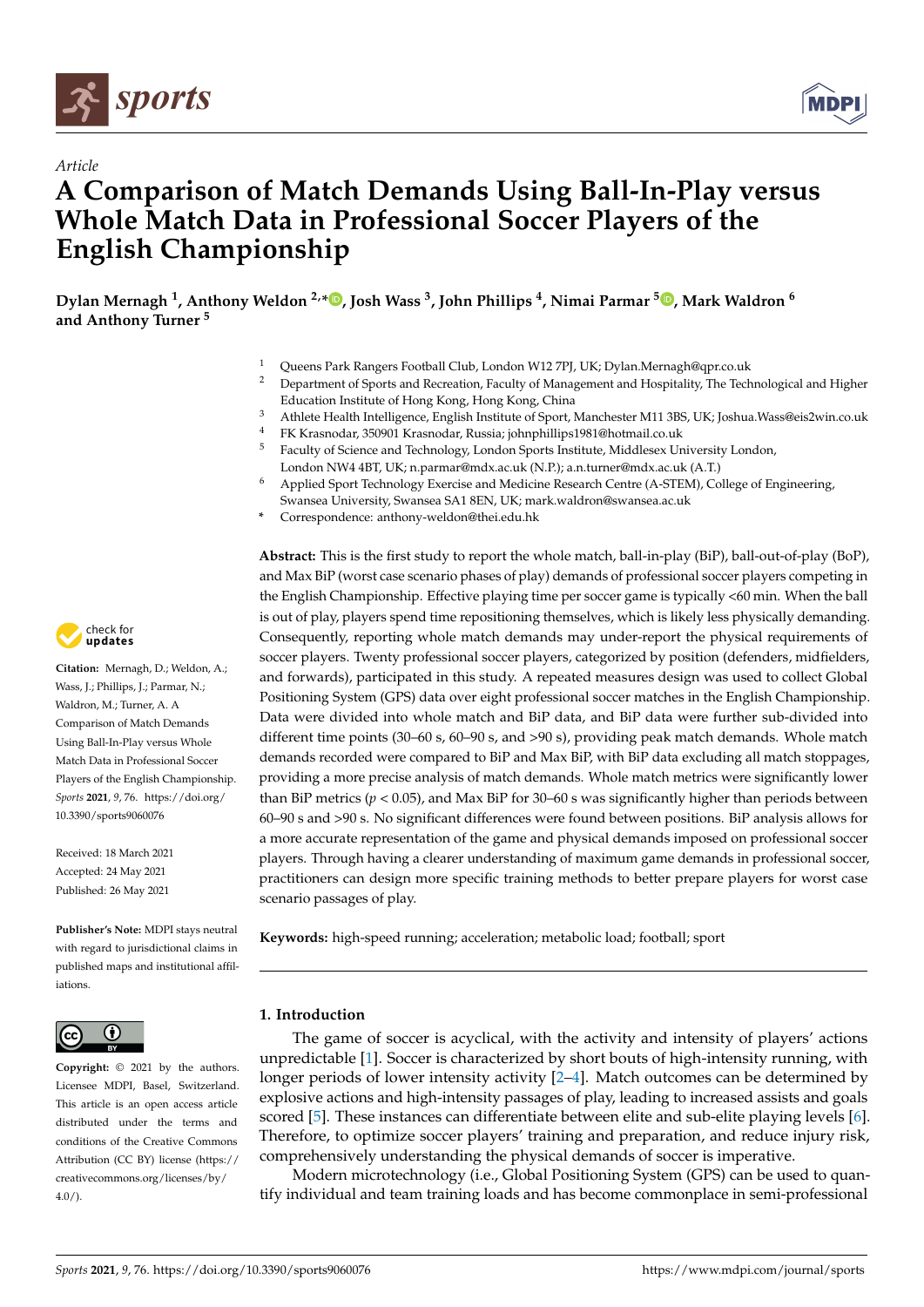

*Article*



## **A Comparison of Match Demands Using Ball-In-Play versus Whole Match Data in Professional Soccer Players of the English Championship**

**Dylan Mernagh <sup>1</sup> , Anthony Weldon 2,\* [,](https://orcid.org/0000-0001-5762-332X) Josh Wass <sup>3</sup> , John Phillips <sup>4</sup> , Nimai Parmar <sup>5</sup> [,](https://orcid.org/0000-0001-5540-123X) Mark Waldron <sup>6</sup> and Anthony Turner <sup>5</sup>**

- <sup>1</sup> Queens Park Rangers Football Club, London W12 7PJ, UK; Dylan.Mernagh@qpr.co.uk
- <sup>2</sup> Department of Sports and Recreation, Faculty of Management and Hospitality, The Technological and Higher Education Institute of Hong Kong, Hong Kong, China
- <sup>3</sup> Athlete Health Intelligence, English Institute of Sport, Manchester M11 3BS, UK; Joshua.Wass@eis2win.co.uk
- <sup>4</sup> FK Krasnodar, 350901 Krasnodar, Russia; johnphillips1981@hotmail.co.uk
- <sup>5</sup> Faculty of Science and Technology, London Sports Institute, Middlesex University London, London NW4 4BT, UK; n.parmar@mdx.ac.uk (N.P.); a.n.turner@mdx.ac.uk (A.T.)
- <sup>6</sup> Applied Sport Technology Exercise and Medicine Research Centre (A-STEM), College of Engineering,
- Swansea University, Swansea SA1 8EN, UK; mark.waldron@swansea.ac.uk
- **\*** Correspondence: anthony-weldon@thei.edu.hk

**Abstract:** This is the first study to report the whole match, ball-in-play (BiP), ball-out-of-play (BoP), and Max BiP (worst case scenario phases of play) demands of professional soccer players competing in the English Championship. Effective playing time per soccer game is typically <60 min. When the ball is out of play, players spend time repositioning themselves, which is likely less physically demanding. Consequently, reporting whole match demands may under-report the physical requirements of soccer players. Twenty professional soccer players, categorized by position (defenders, midfielders, and forwards), participated in this study. A repeated measures design was used to collect Global Positioning System (GPS) data over eight professional soccer matches in the English Championship. Data were divided into whole match and BiP data, and BiP data were further sub-divided into different time points (30–60 s, 60–90 s, and >90 s), providing peak match demands. Whole match demands recorded were compared to BiP and Max BiP, with BiP data excluding all match stoppages, providing a more precise analysis of match demands. Whole match metrics were significantly lower than BiP metrics (*p* < 0.05), and Max BiP for 30–60 s was significantly higher than periods between 60–90 s and >90 s. No significant differences were found between positions. BiP analysis allows for a more accurate representation of the game and physical demands imposed on professional soccer players. Through having a clearer understanding of maximum game demands in professional soccer, practitioners can design more specific training methods to better prepare players for worst case scenario passages of play.

**Keywords:** high-speed running; acceleration; metabolic load; football; sport

#### **1. Introduction**

The game of soccer is acyclical, with the activity and intensity of players' actions unpredictable [\[1\]](#page-8-0). Soccer is characterized by short bouts of high-intensity running, with longer periods of lower intensity activity [\[2–](#page-8-1)[4\]](#page-8-2). Match outcomes can be determined by explosive actions and high-intensity passages of play, leading to increased assists and goals scored [\[5\]](#page-8-3). These instances can differentiate between elite and sub-elite playing levels [\[6\]](#page-8-4). Therefore, to optimize soccer players' training and preparation, and reduce injury risk, comprehensively understanding the physical demands of soccer is imperative.

Modern microtechnology (i.e., Global Positioning System (GPS) can be used to quantify individual and team training loads and has become commonplace in semi-professional



**Citation:** Mernagh, D.; Weldon, A.; Wass, J.; Phillips, J.; Parmar, N.; Waldron, M.; Turner, A. A Comparison of Match Demands Using Ball-In-Play versus Whole Match Data in Professional Soccer Players of the English Championship. *Sports* **2021**, *9*, 76. [https://doi.org/](https://doi.org/10.3390/sports9060076) [10.3390/sports9060076](https://doi.org/10.3390/sports9060076)

Received: 18 March 2021 Accepted: 24 May 2021 Published: 26 May 2021

**Publisher's Note:** MDPI stays neutral with regard to jurisdictional claims in published maps and institutional affiliations.



**Copyright:** © 2021 by the authors. Licensee MDPI, Basel, Switzerland. This article is an open access article distributed under the terms and conditions of the Creative Commons Attribution (CC BY) license (https:/[/](https://creativecommons.org/licenses/by/4.0/) [creativecommons.org/licenses/by/](https://creativecommons.org/licenses/by/4.0/)  $4.0/$ ).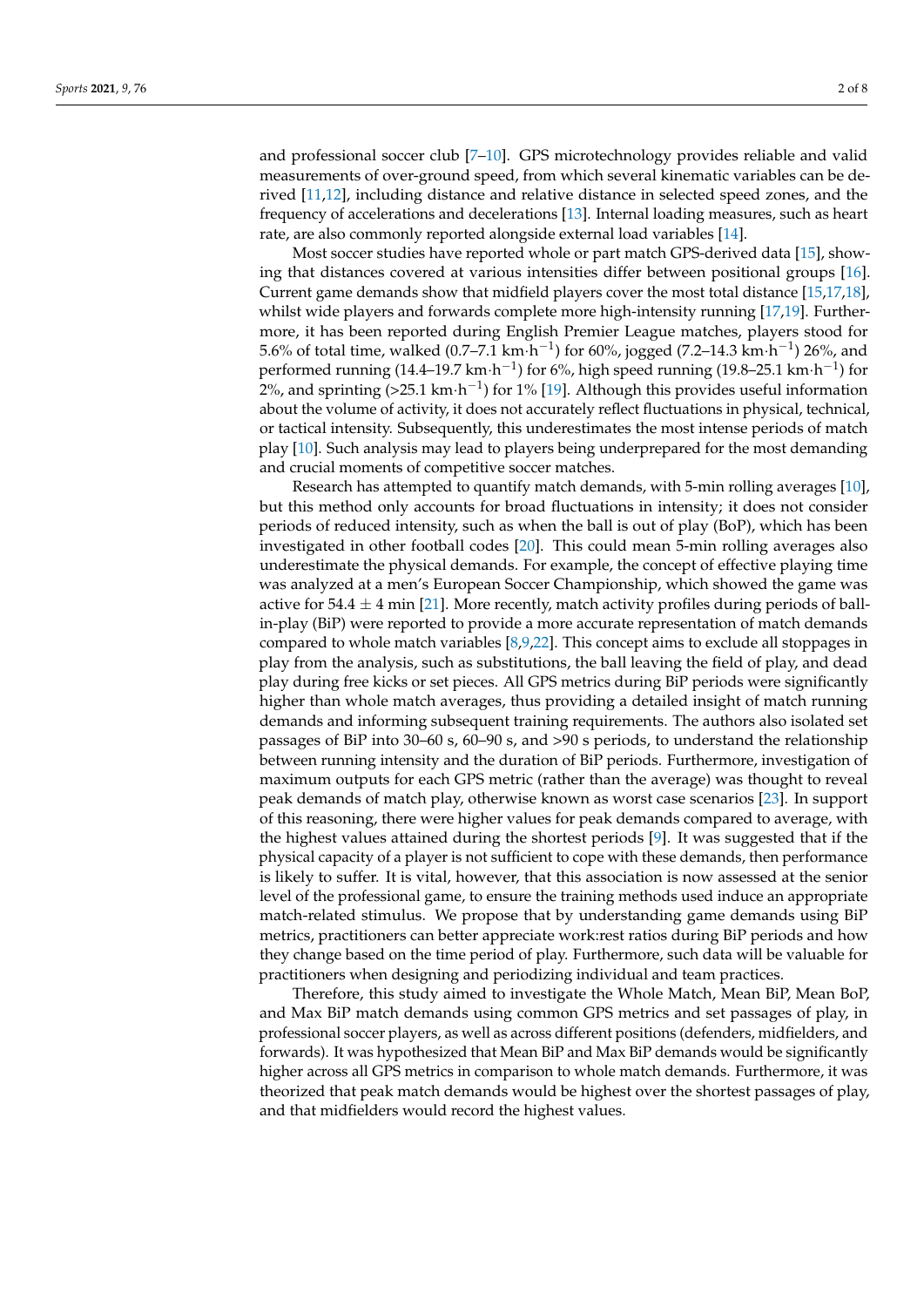and professional soccer club [\[7](#page-8-5)[–10\]](#page-9-0). GPS microtechnology provides reliable and valid measurements of over-ground speed, from which several kinematic variables can be derived [\[11](#page-9-1)[,12\]](#page-9-2), including distance and relative distance in selected speed zones, and the frequency of accelerations and decelerations [\[13\]](#page-9-3). Internal loading measures, such as heart rate, are also commonly reported alongside external load variables [\[14\]](#page-9-4).

Most soccer studies have reported whole or part match GPS-derived data [\[15\]](#page-9-5), showing that distances covered at various intensities differ between positional groups [\[16\]](#page-9-6). Current game demands show that midfield players cover the most total distance [\[15](#page-9-5)[,17](#page-9-7)[,18\]](#page-9-8), whilst wide players and forwards complete more high-intensity running [\[17,](#page-9-7)[19\]](#page-9-9). Furthermore, it has been reported during English Premier League matches, players stood for 5.6% of total time, walked (0.7–7.1 km $\cdot$ h<sup>-1</sup>) for 60%, jogged (7.2–14.3 km $\cdot$ h<sup>-1</sup>) 26%, and performed running (14.4–19.7 km·h<sup>-1</sup>) for 6%, high speed running (19.8–25.1 km·h<sup>-1</sup>) for 2%, and sprinting (>25.1 km·h<sup>-1</sup>) for 1% [\[19\]](#page-9-9). Although this provides useful information about the volume of activity, it does not accurately reflect fluctuations in physical, technical, or tactical intensity. Subsequently, this underestimates the most intense periods of match play [\[10\]](#page-9-0). Such analysis may lead to players being underprepared for the most demanding and crucial moments of competitive soccer matches.

Research has attempted to quantify match demands, with 5-min rolling averages [\[10\]](#page-9-0), but this method only accounts for broad fluctuations in intensity; it does not consider periods of reduced intensity, such as when the ball is out of play (BoP), which has been investigated in other football codes [\[20\]](#page-9-10). This could mean 5-min rolling averages also underestimate the physical demands. For example, the concept of effective playing time was analyzed at a men's European Soccer Championship, which showed the game was active for 54.4  $\pm$  4 min [\[21\]](#page-9-11). More recently, match activity profiles during periods of ballin-play (BiP) were reported to provide a more accurate representation of match demands compared to whole match variables [\[8](#page-8-6)[,9](#page-8-7)[,22\]](#page-9-12). This concept aims to exclude all stoppages in play from the analysis, such as substitutions, the ball leaving the field of play, and dead play during free kicks or set pieces. All GPS metrics during BiP periods were significantly higher than whole match averages, thus providing a detailed insight of match running demands and informing subsequent training requirements. The authors also isolated set passages of BiP into 30–60 s, 60–90 s, and >90 s periods, to understand the relationship between running intensity and the duration of BiP periods. Furthermore, investigation of maximum outputs for each GPS metric (rather than the average) was thought to reveal peak demands of match play, otherwise known as worst case scenarios [\[23\]](#page-9-13). In support of this reasoning, there were higher values for peak demands compared to average, with the highest values attained during the shortest periods [\[9\]](#page-8-7). It was suggested that if the physical capacity of a player is not sufficient to cope with these demands, then performance is likely to suffer. It is vital, however, that this association is now assessed at the senior level of the professional game, to ensure the training methods used induce an appropriate match-related stimulus. We propose that by understanding game demands using BiP metrics, practitioners can better appreciate work:rest ratios during BiP periods and how they change based on the time period of play. Furthermore, such data will be valuable for practitioners when designing and periodizing individual and team practices.

Therefore, this study aimed to investigate the Whole Match, Mean BiP, Mean BoP, and Max BiP match demands using common GPS metrics and set passages of play, in professional soccer players, as well as across different positions (defenders, midfielders, and forwards). It was hypothesized that Mean BiP and Max BiP demands would be significantly higher across all GPS metrics in comparison to whole match demands. Furthermore, it was theorized that peak match demands would be highest over the shortest passages of play, and that midfielders would record the highest values.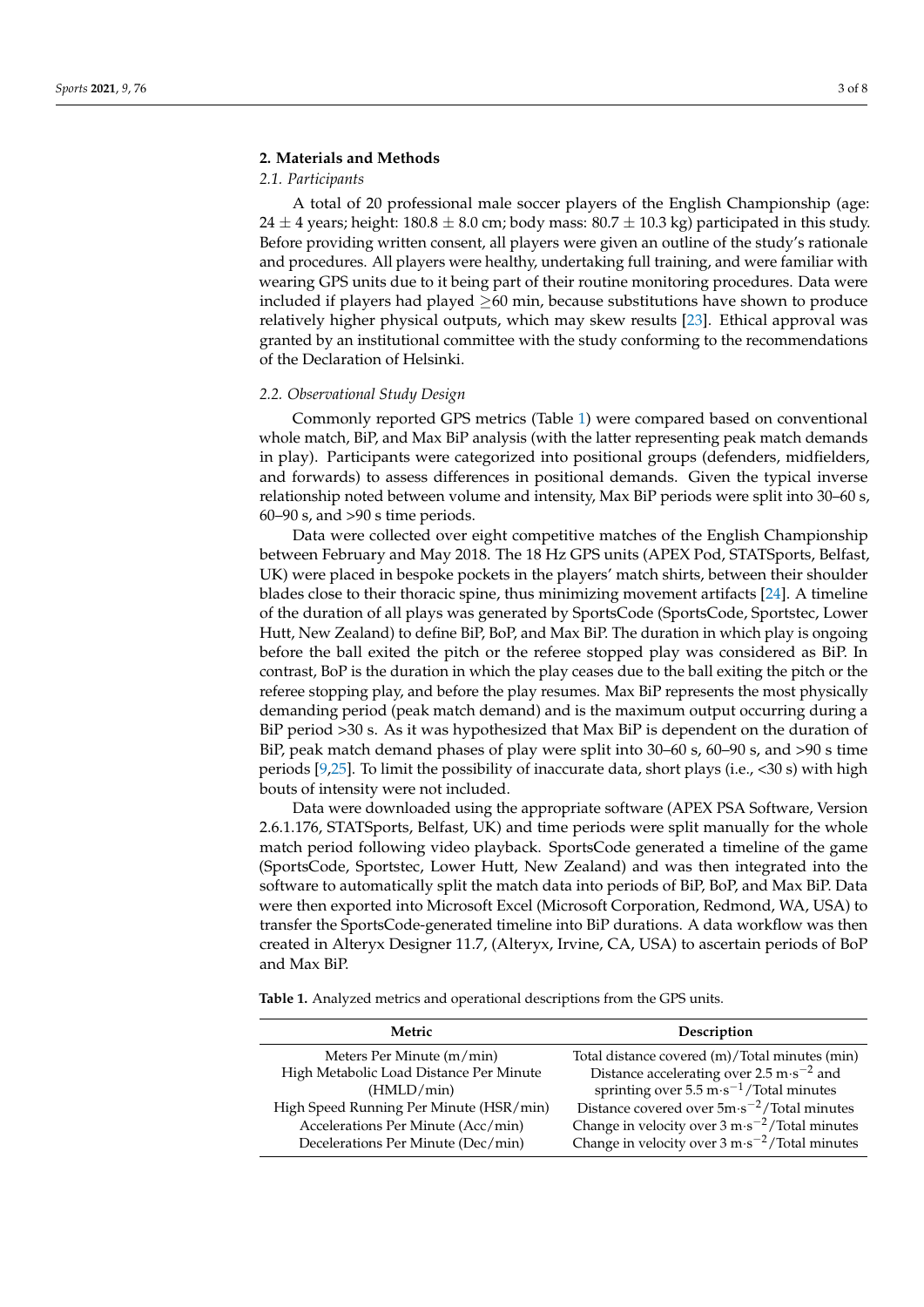#### **2. Materials and Methods**

#### *2.1. Participants*

A total of 20 professional male soccer players of the English Championship (age: 24  $\pm$  4 years; height: 180.8  $\pm$  8.0 cm; body mass: 80.7  $\pm$  10.3 kg) participated in this study. Before providing written consent, all players were given an outline of the study's rationale and procedures. All players were healthy, undertaking full training, and were familiar with wearing GPS units due to it being part of their routine monitoring procedures. Data were included if players had played  $\geq$  60 min, because substitutions have shown to produce relatively higher physical outputs, which may skew results [\[23\]](#page-9-13). Ethical approval was granted by an institutional committee with the study conforming to the recommendations of the Declaration of Helsinki.

#### *2.2. Observational Study Design*

Commonly reported GPS metrics (Table [1\)](#page-4-0) were compared based on conventional whole match, BiP, and Max BiP analysis (with the latter representing peak match demands in play). Participants were categorized into positional groups (defenders, midfielders, and forwards) to assess differences in positional demands. Given the typical inverse relationship noted between volume and intensity, Max BiP periods were split into 30–60 s, 60–90 s, and >90 s time periods.

Data were collected over eight competitive matches of the English Championship between February and May 2018. The 18 Hz GPS units (APEX Pod, STATSports, Belfast, UK) were placed in bespoke pockets in the players' match shirts, between their shoulder blades close to their thoracic spine, thus minimizing movement artifacts [\[24\]](#page-9-14). A timeline of the duration of all plays was generated by SportsCode (SportsCode, Sportstec, Lower Hutt, New Zealand) to define BiP, BoP, and Max BiP. The duration in which play is ongoing before the ball exited the pitch or the referee stopped play was considered as BiP. In contrast, BoP is the duration in which the play ceases due to the ball exiting the pitch or the referee stopping play, and before the play resumes. Max BiP represents the most physically demanding period (peak match demand) and is the maximum output occurring during a BiP period >30 s. As it was hypothesized that Max BiP is dependent on the duration of BiP, peak match demand phases of play were split into 30–60 s, 60–90 s, and >90 s time periods [\[9](#page-8-7)[,25\]](#page-9-15). To limit the possibility of inaccurate data, short plays (i.e., <30 s) with high bouts of intensity were not included.

Data were downloaded using the appropriate software (APEX PSA Software, Version 2.6.1.176, STATSports, Belfast, UK) and time periods were split manually for the whole match period following video playback. SportsCode generated a timeline of the game (SportsCode, Sportstec, Lower Hutt, New Zealand) and was then integrated into the software to automatically split the match data into periods of BiP, BoP, and Max BiP. Data were then exported into Microsoft Excel (Microsoft Corporation, Redmond, WA, USA) to transfer the SportsCode-generated timeline into BiP durations. A data workflow was then created in Alteryx Designer 11.7, (Alteryx, Irvine, CA, USA) to ascertain periods of BoP and Max BiP.

<span id="page-4-0"></span>**Table 1.** Analyzed metrics and operational descriptions from the GPS units.

| Metric                                  | Description                                                              |  |  |
|-----------------------------------------|--------------------------------------------------------------------------|--|--|
| Meters Per Minute (m/min)               | Total distance covered (m)/Total minutes (min)                           |  |  |
| High Metabolic Load Distance Per Minute | Distance accelerating over 2.5 m $\cdot$ s <sup>-2</sup> and             |  |  |
| (HMLD/min)                              | sprinting over $5.5 \text{ m} \cdot \text{s}^{-1}$ /Total minutes        |  |  |
| High Speed Running Per Minute (HSR/min) | Distance covered over $5m \cdot s^{-2}$ /Total minutes                   |  |  |
| Accelerations Per Minute (Acc/min)      | Change in velocity over $3 \text{ m} \cdot \text{s}^{-2}$ /Total minutes |  |  |
| Decelerations Per Minute (Dec/min)      | Change in velocity over $3 \text{ m} \cdot \text{s}^{-2}$ /Total minutes |  |  |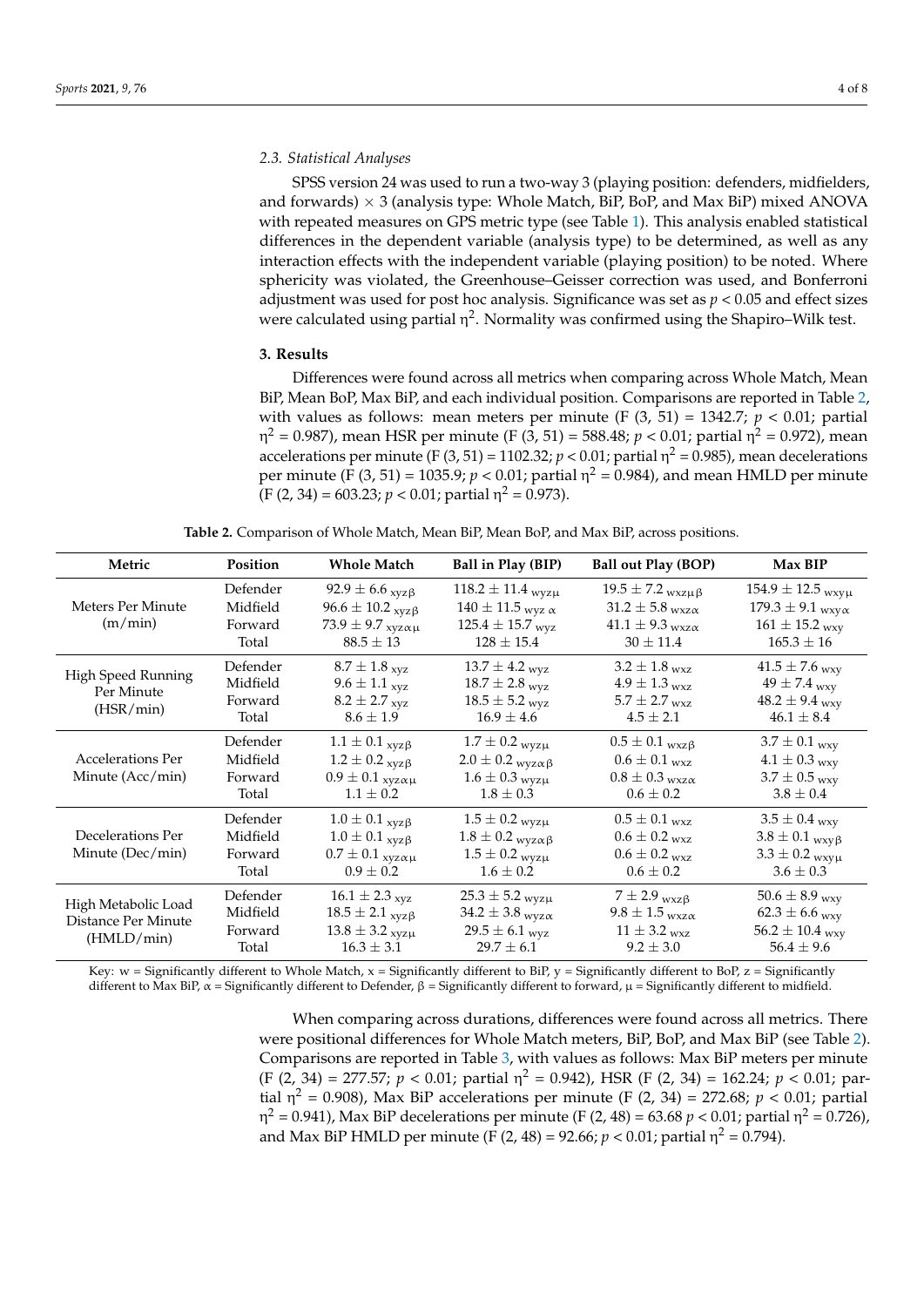#### *2.3. Statistical Analyses*

SPSS version 24 was used to run a two-way 3 (playing position: defenders, midfielders, and forwards)  $\times$  3 (analysis type: Whole Match, BiP, BoP, and Max BiP) mixed ANOVA with repeated measures on GPS metric type (see Table [1\)](#page-4-0). This analysis enabled statistical differences in the dependent variable (analysis type) to be determined, as well as any interaction effects with the independent variable (playing position) to be noted. Where sphericity was violated, the Greenhouse–Geisser correction was used, and Bonferroni adjustment was used for post hoc analysis. Significance was set as *p* < 0.05 and effect sizes were calculated using partial  $\eta^2$ . Normality was confirmed using the Shapiro–Wilk test.

#### **3. Results**

Differences were found across all metrics when comparing across Whole Match, Mean BiP, Mean BoP, Max BiP, and each individual position. Comparisons are reported in Table [2,](#page-5-0) with values as follows: mean meters per minute  $(F(3, 51) = 1342.7; p < 0.01;$  partial η <sup>2</sup> = 0.987), mean HSR per minute (F (3, 51) = 588.48; *p* < 0.01; partial η <sup>2</sup> = 0.972), mean accelerations per minute (F (3, 51) = 1102.32;  $p < 0.01$ ; partial  $\eta^2 = 0.985$ ), mean decelerations per minute (F (3, 51) = 1035.9;  $p < 0.01$ ; partial  $\eta^2 = 0.984$ ), and mean HMLD per minute (F (2, 34) = 603.23; *p* < 0.01; partial η <sup>2</sup> = 0.973).

<span id="page-5-0"></span>

| Metric                                                   | <b>Position</b>                          | <b>Whole Match</b>                                                                                                                   | Ball in Play (BIP)                                                                                                      | <b>Ball out Play (BOP)</b>                                                                                            | Max BIP                                                                                                                       |
|----------------------------------------------------------|------------------------------------------|--------------------------------------------------------------------------------------------------------------------------------------|-------------------------------------------------------------------------------------------------------------------------|-----------------------------------------------------------------------------------------------------------------------|-------------------------------------------------------------------------------------------------------------------------------|
| Meters Per Minute<br>(m/min)                             | Defender<br>Midfield<br>Forward<br>Total | 92.9 $\pm$ 6.6 <sub>xyz</sub> $\beta$<br>$96.6 \pm 10.2$ <sub>xyz</sub> $\beta$<br>73.9 $\pm$ 9.7 $_{xyz\alpha\mu}$<br>$88.5 \pm 13$ | $118.2 \pm 11.4$ wyzu<br>$140 \pm 11.5$ wyz $\alpha$<br>$125.4 \pm 15.7$ wyz<br>$128 \pm 15.4$                          | $19.5 \pm 7.2$ <sub>wxzµ</sub> $\beta$<br>$31.2 \pm 5.8$ wxz $\alpha$<br>$41.1 \pm 9.3$ wxz $\alpha$<br>$30 \pm 11.4$ | $154.9 \pm 12.5$ <sub>wxyµ</sub><br>$179.3 \pm 9.1$ <sub>wxy<math>\alpha</math></sub><br>$161 \pm 15.2$ wxy<br>$165.3 \pm 16$ |
| High Speed Running<br>Per Minute<br>(HSR/min)            | Defender<br>Midfield<br>Forward<br>Total | $8.7 \pm 1.8$ <sub>xyz</sub><br>$9.6 \pm 1.1_{xyz}$<br>$8.2 \pm 2.7$ xyz<br>$8.6 \pm 1.9$                                            | $13.7 \pm 4.2$ wyz<br>$18.7 \pm 2.8$ wyz<br>$18.5 \pm 5.2$ wyz<br>$16.9 \pm 4.6$                                        | $3.2 \pm 1.8$ wxz<br>$4.9\pm1.3$ $_{\rm WXZ}$<br>$5.7\pm2.7$ $_{\rm WXZ}$<br>$4.5 \pm 2.1$                            | $41.5 \pm 7.6$ wxy<br>$49 \pm 7.4$ wxy<br>$48.2 \pm 9.4$ wxy<br>$46.1 \pm 8.4$                                                |
| Accelerations Per<br>Minute (Acc/min)                    | Defender<br>Midfield<br>Forward<br>Total | $1.1 \pm 0.1_{xyz\beta}$<br>$1.2 \pm 0.2$ <sub>xyz</sub> $\beta$<br>$0.9 \pm 0.1$ xyz $\alpha\mu$<br>$1.1 \pm 0.2$                   | $1.7 \pm 0.2$ wyzu<br>$2.0 \pm 0.2$ <sub>wyz<math>\alpha \beta</math></sub><br>$1.6 \pm 0.3$ wyz $\mu$<br>$1.8 \pm 0.3$ | $0.5 \pm 0.1$ <sub>wxz</sub> $\beta$<br>$0.6 \pm 0.1$ wxz<br>$0.8 \pm 0.3$ wxz $\alpha$<br>$0.6 \pm 0.2$              | $3.7 \pm 0.1$ <sub>wxy</sub><br>$4.1 \pm 0.3$ wxy<br>$3.7 \pm 0.5$ wxy<br>$3.8 \pm 0.4$                                       |
| Decelerations Per<br>Minute (Dec/min)                    | Defender<br>Midfield<br>Forward<br>Total | $1.0 \pm 0.1$ <sub>xyz</sub> $\beta$<br>$1.0 \pm 0.1$ <sub>xyz</sub> $\beta$<br>$0.7 \pm 0.1$ xyz $\alpha\mu$<br>$0.9 \pm 0.2$       | $1.5 \pm 0.2$ wyzu<br>$1.8 \pm 0.2$ <sub>wyz<math>\alpha\beta</math></sub><br>$1.5 \pm 0.2$ wyz $\mu$<br>$1.6 \pm 0.2$  | $0.5 \pm 0.1$ wxz<br>$0.6 \pm 0.2$ wxz<br>$0.6 \pm 0.2$ wxz<br>$0.6 \pm 0.2$                                          | $3.5 \pm 0.4$ wxy<br>$3.8 \pm 0.1$ <sub>wxy</sub> $\beta$<br>$3.3 \pm 0.2$ wxy $\mu$<br>$3.6 \pm 0.3$                         |
| High Metabolic Load<br>Distance Per Minute<br>(HMLD/min) | Defender<br>Midfield<br>Forward<br>Total | $16.1 \pm 2.3$ <sub>xyz</sub><br>$18.5 \pm 2.1_{xyz\beta}$<br>$13.8 \pm 3.2$ xyz $\mu$<br>$16.3 \pm 3.1$                             | $25.3 \pm 5.2$ wyzu<br>34.2 $\pm$ 3.8 <sub>wyz<math>\alpha</math></sub><br>$29.5 \pm 6.1$ wyz<br>$29.7 \pm 6.1$         | $7 \pm 2.9$ wxz $\beta$<br>$9.8 \pm 1.5$ wxz $\alpha$<br>$11 \pm 3.2$ wxz<br>$9.2 \pm 3.0$                            | 50.6 $\pm$ 8.9 <sub>wxy</sub><br>$62.3 \pm 6.6$ wxy<br>$56.2 \pm 10.4$ wxy<br>$56.4 \pm 9.6$                                  |

**Table 2.** Comparison of Whole Match, Mean BiP, Mean BoP, and Max BiP, across positions.

Key:  $w =$  Significantly different to Whole Match,  $x =$  Significantly different to BiP,  $y =$  Significantly different to BoP,  $z =$  Significantly different to Max BiP,  $\alpha$  = Significantly different to Defender,  $\beta$  = Significantly different to forward,  $\mu$  = Significantly different to midfield.

> When comparing across durations, differences were found across all metrics. There were positional differences for Whole Match meters, BiP, BoP, and Max BiP (see Table [2\)](#page-5-0). Comparisons are reported in Table [3,](#page-6-0) with values as follows: Max BiP meters per minute (F (2, 34) = 277.57; *p* < 0.01; partial η <sup>2</sup> = 0.942), HSR (F (2, 34) = 162.24; *p* < 0.01; partial  $\eta^2$  = 0.908), Max BiP accelerations per minute (F (2, 34) = 272.68;  $p < 0.01$ ; partial η<sup>2</sup> = 0.941), Max BiP decelerations per minute (F (2, 48) = 63.68 *p* < 0.01; partial η<sup>2</sup> = 0.726), and Max BiP HMLD per minute (F (2, 48) = 92.66;  $p < 0.01$ ; partial  $\eta^2 = 0.794$ ).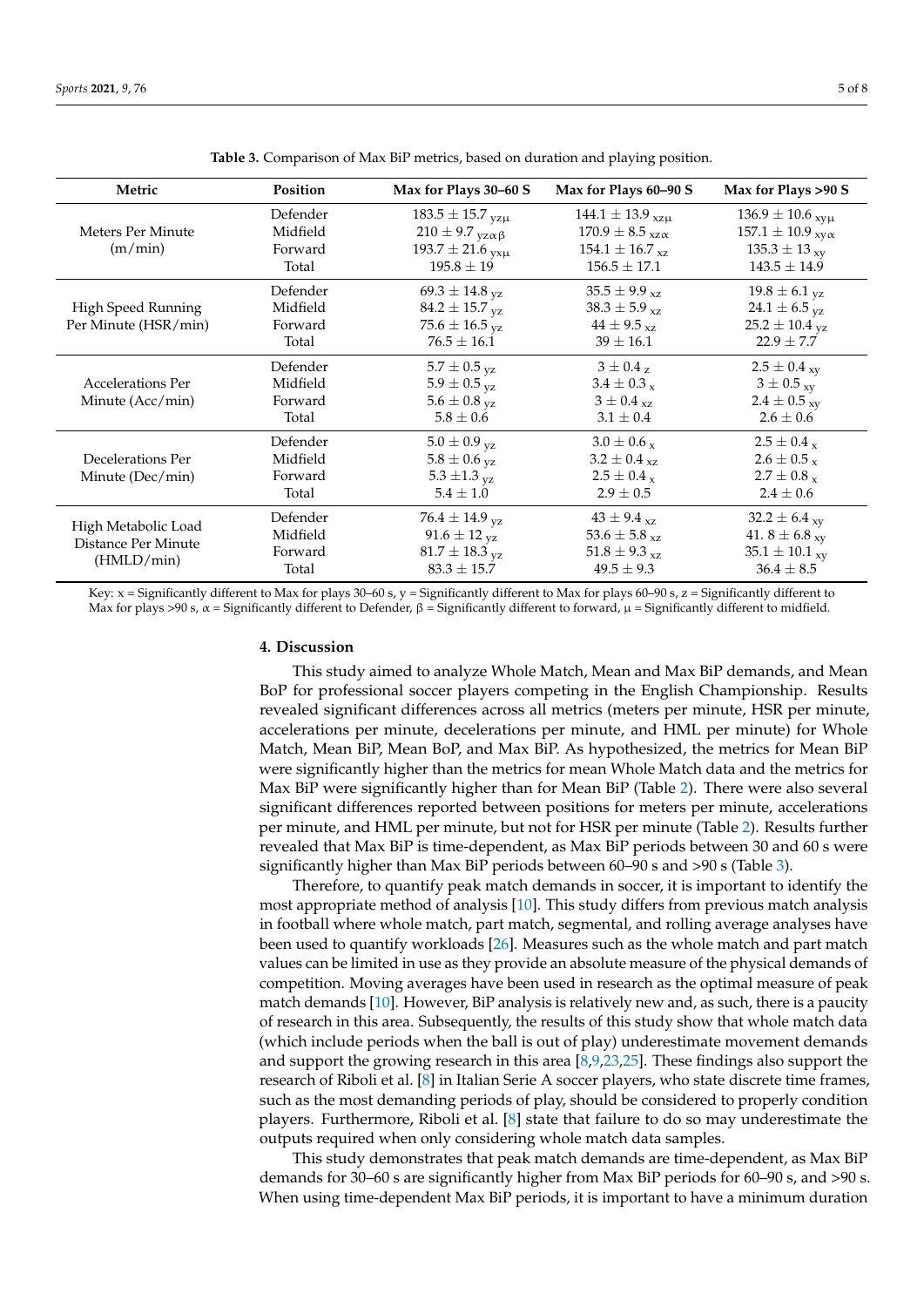<span id="page-6-0"></span>

| Metric                                     | Position | Max for Plays 30–60 S           | Max for Plays 60-90 S                            | Max for Plays >90 S             |
|--------------------------------------------|----------|---------------------------------|--------------------------------------------------|---------------------------------|
|                                            | Defender | $183.5 \pm 15.7$ yzµ            | $144.1 \pm 13.9$ <sub>xzu</sub>                  | $136.9 \pm 10.6$ <sub>xyµ</sub> |
| Meters Per Minute                          | Midfield | $210 \pm 9.7$ yz $\alpha \beta$ | $170.9 \pm 8.5$ <sub>xz<math>\alpha</math></sub> | $157.1 \pm 10.9$ xy $\alpha$    |
| (m/min)                                    | Forward  | 193.7 $\pm$ 21.6 $_{yx\mu}$     | $154.1 \pm 16.7$ <sub>xz</sub>                   | $135.3 \pm 13_{xy}$             |
|                                            | Total    | $195.8 \pm 19$                  | $156.5 \pm 17.1$                                 | $143.5 \pm 14.9$                |
|                                            | Defender | $69.3 \pm 14.8$ <sub>yz</sub>   | $35.5 \pm 9.9$ <sub>xz</sub>                     | $19.8 \pm 6.1$ <sub>yz</sub>    |
| High Speed Running                         | Midfield | $84.2 \pm 15.7$ yz              | $38.3 \pm 5.9$ <sub>xz</sub>                     | 24.1 $\pm$ 6.5 $_{\rm VZ}$      |
| Per Minute (HSR/min)                       | Forward  | 75.6 $\pm$ 16.5 yz              | $44 \pm 9.5$ <sub>xz</sub>                       | $25.2 \pm 10.4$ yz              |
|                                            | Total    | $76.5 \pm 16.1$                 | $39 \pm 16.1$                                    | $22.9 \pm 7.7$                  |
|                                            | Defender | $5.7 \pm 0.5$ <sub>yz</sub>     | $3\pm0.4$ z                                      | $2.5 \pm 0.4$ <sub>xy</sub>     |
| <b>Accelerations Per</b>                   | Midfield | $5.9 \pm 0.5$ <sub>yz</sub>     | $3.4 \pm 0.3$ x                                  | $3 \pm 0.5$ <sub>xy</sub>       |
| Minute (Acc/min)                           | Forward  | $5.6 \pm 0.8$ <sub>yz</sub>     | $3\pm0.4$ <sub>xz</sub>                          | $2.4 \pm 0.5$ xy                |
|                                            | Total    | $5.8 \pm 0.6$                   | $3.1 \pm 0.4$                                    | $2.6 \pm 0.6$                   |
|                                            | Defender | $5.0 \pm 0.9$ yz                | $3.0 \pm 0.6 x$                                  | $2.5 \pm 0.4$ x                 |
| Decelerations Per                          | Midfield | $5.8 \pm 0.6$ <sub>yz</sub>     | $3.2 \pm 0.4$ <sub>xz</sub>                      | $2.6 \pm 0.5$ x                 |
| Minute (Dec/min)                           | Forward  | 5.3 $\pm$ 1.3 $_{\text{VZ}}$    | $2.5 \pm 0.4$ x                                  | $2.7 \pm 0.8$ x                 |
|                                            | Total    | $5.4 \pm 1.0$                   | $2.9 \pm 0.5$                                    | $2.4 \pm 0.6$                   |
|                                            | Defender | $76.4 \pm 14.9$ <sub>yz</sub>   | $43 \pm 9.4$ xz                                  | 32.2 $\pm$ 6.4 <sub>xy</sub>    |
| High Metabolic Load<br>Distance Per Minute | Midfield | $91.6 \pm 12$ <sub>yz</sub>     | 53.6 $\pm$ 5.8 <sub>xz</sub>                     | 41. $8 \pm 6.8$ <sub>xy</sub>   |
| (HMLD/min)                                 | Forward  | $81.7 \pm 18.3$ yz              | 51.8 $\pm$ 9.3 <sub>xz</sub>                     | $35.1 \pm 10.1$ <sub>xy</sub>   |
|                                            | Total    | $83.3 \pm 15.7$                 | $49.5 \pm 9.3$                                   | $36.4 \pm 8.5$                  |

**Table 3.** Comparison of Max BiP metrics, based on duration and playing position.

Key:  $x =$  Significantly different to Max for plays 30–60 s,  $y =$  Significantly different to Max for plays 60–90 s,  $z =$  Significantly different to Max for plays >90 s,  $\alpha$  = Significantly different to Defender,  $\beta$  = Significantly different to forward,  $\mu$  = Significantly different to midfield.

#### **4. Discussion**

This study aimed to analyze Whole Match, Mean and Max BiP demands, and Mean BoP for professional soccer players competing in the English Championship. Results revealed significant differences across all metrics (meters per minute, HSR per minute, accelerations per minute, decelerations per minute, and HML per minute) for Whole Match, Mean BiP, Mean BoP, and Max BiP. As hypothesized, the metrics for Mean BiP were significantly higher than the metrics for mean Whole Match data and the metrics for Max BiP were significantly higher than for Mean BiP (Table [2\)](#page-5-0). There were also several significant differences reported between positions for meters per minute, accelerations per minute, and HML per minute, but not for HSR per minute (Table [2\)](#page-5-0). Results further revealed that Max BiP is time-dependent, as Max BiP periods between 30 and 60 s were significantly higher than Max BiP periods between 60–90 s and >90 s (Table [3\)](#page-6-0).

Therefore, to quantify peak match demands in soccer, it is important to identify the most appropriate method of analysis [\[10\]](#page-9-0). This study differs from previous match analysis in football where whole match, part match, segmental, and rolling average analyses have been used to quantify workloads [\[26\]](#page-9-16). Measures such as the whole match and part match values can be limited in use as they provide an absolute measure of the physical demands of competition. Moving averages have been used in research as the optimal measure of peak match demands [\[10\]](#page-9-0). However, BiP analysis is relatively new and, as such, there is a paucity of research in this area. Subsequently, the results of this study show that whole match data (which include periods when the ball is out of play) underestimate movement demands and support the growing research in this area [\[8,](#page-8-6)[9,](#page-8-7)[23,](#page-9-13)[25\]](#page-9-15). These findings also support the research of Riboli et al. [\[8\]](#page-8-6) in Italian Serie A soccer players, who state discrete time frames, such as the most demanding periods of play, should be considered to properly condition players. Furthermore, Riboli et al. [\[8\]](#page-8-6) state that failure to do so may underestimate the outputs required when only considering whole match data samples.

This study demonstrates that peak match demands are time-dependent, as Max BiP demands for 30–60 s are significantly higher from Max BiP periods for 60–90 s, and >90 s. When using time-dependent Max BiP periods, it is important to have a minimum duration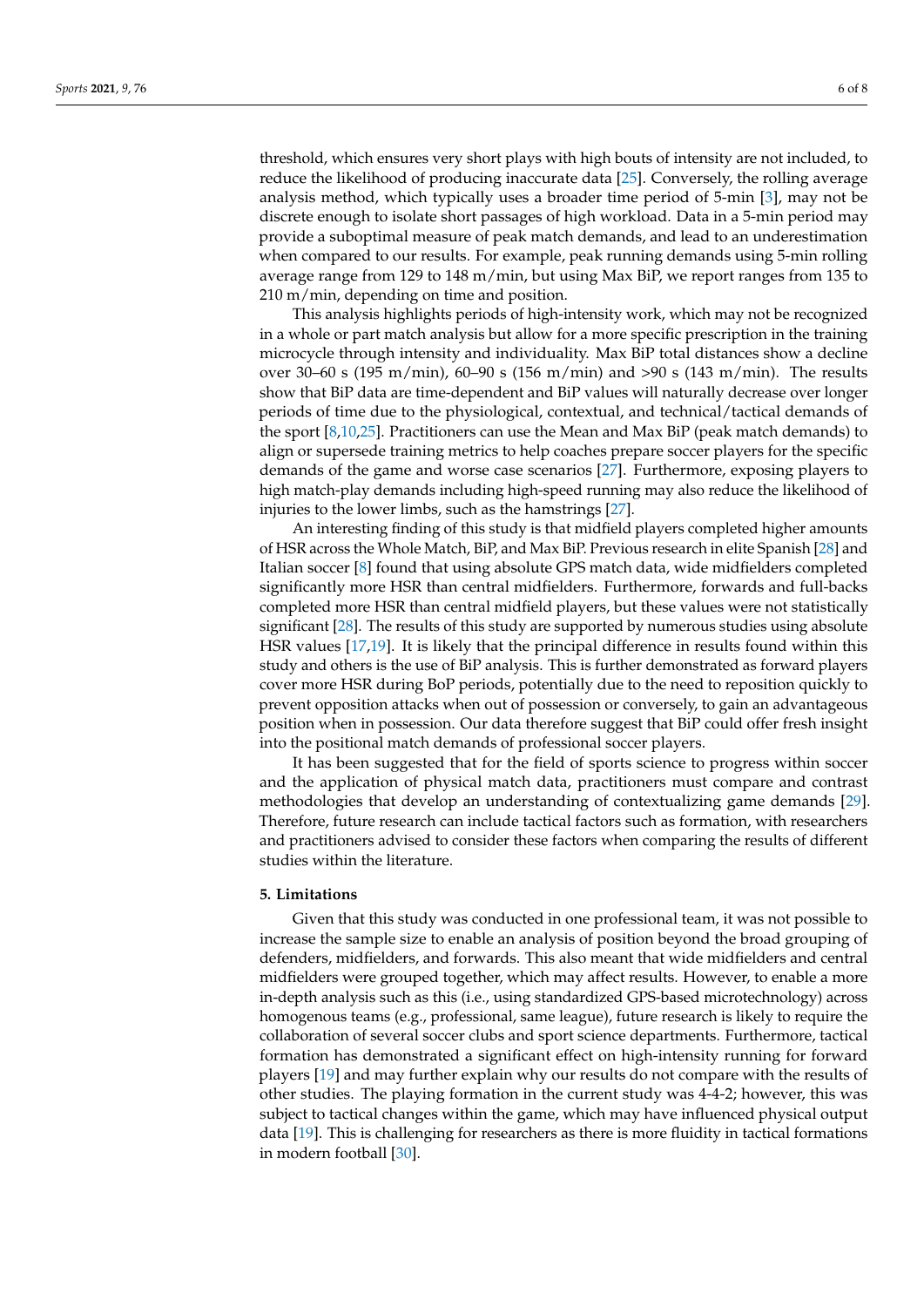threshold, which ensures very short plays with high bouts of intensity are not included, to reduce the likelihood of producing inaccurate data [\[25\]](#page-9-15). Conversely, the rolling average analysis method, which typically uses a broader time period of 5-min [\[3\]](#page-8-8), may not be discrete enough to isolate short passages of high workload. Data in a 5-min period may provide a suboptimal measure of peak match demands, and lead to an underestimation when compared to our results. For example, peak running demands using 5-min rolling average range from 129 to 148 m/min, but using Max BiP, we report ranges from 135 to 210 m/min, depending on time and position.

This analysis highlights periods of high-intensity work, which may not be recognized in a whole or part match analysis but allow for a more specific prescription in the training microcycle through intensity and individuality. Max BiP total distances show a decline over 30–60 s (195 m/min), 60–90 s (156 m/min) and >90 s (143 m/min). The results show that BiP data are time-dependent and BiP values will naturally decrease over longer periods of time due to the physiological, contextual, and technical/tactical demands of the sport [\[8,](#page-8-6)[10,](#page-9-0)[25\]](#page-9-15). Practitioners can use the Mean and Max BiP (peak match demands) to align or supersede training metrics to help coaches prepare soccer players for the specific demands of the game and worse case scenarios [\[27\]](#page-9-17). Furthermore, exposing players to high match-play demands including high-speed running may also reduce the likelihood of injuries to the lower limbs, such as the hamstrings [\[27\]](#page-9-17).

An interesting finding of this study is that midfield players completed higher amounts of HSR across the Whole Match, BiP, and Max BiP. Previous research in elite Spanish [\[28\]](#page-9-18) and Italian soccer [\[8\]](#page-8-6) found that using absolute GPS match data, wide midfielders completed significantly more HSR than central midfielders. Furthermore, forwards and full-backs completed more HSR than central midfield players, but these values were not statistically significant [\[28\]](#page-9-18). The results of this study are supported by numerous studies using absolute HSR values [\[17,](#page-9-7)[19\]](#page-9-9). It is likely that the principal difference in results found within this study and others is the use of BiP analysis. This is further demonstrated as forward players cover more HSR during BoP periods, potentially due to the need to reposition quickly to prevent opposition attacks when out of possession or conversely, to gain an advantageous position when in possession. Our data therefore suggest that BiP could offer fresh insight into the positional match demands of professional soccer players.

It has been suggested that for the field of sports science to progress within soccer and the application of physical match data, practitioners must compare and contrast methodologies that develop an understanding of contextualizing game demands [\[29\]](#page-9-19). Therefore, future research can include tactical factors such as formation, with researchers and practitioners advised to consider these factors when comparing the results of different studies within the literature.

#### **5. Limitations**

Given that this study was conducted in one professional team, it was not possible to increase the sample size to enable an analysis of position beyond the broad grouping of defenders, midfielders, and forwards. This also meant that wide midfielders and central midfielders were grouped together, which may affect results. However, to enable a more in-depth analysis such as this (i.e., using standardized GPS-based microtechnology) across homogenous teams (e.g., professional, same league), future research is likely to require the collaboration of several soccer clubs and sport science departments. Furthermore, tactical formation has demonstrated a significant effect on high-intensity running for forward players [\[19\]](#page-9-9) and may further explain why our results do not compare with the results of other studies. The playing formation in the current study was 4-4-2; however, this was subject to tactical changes within the game, which may have influenced physical output data [\[19\]](#page-9-9). This is challenging for researchers as there is more fluidity in tactical formations in modern football [\[30\]](#page-9-20).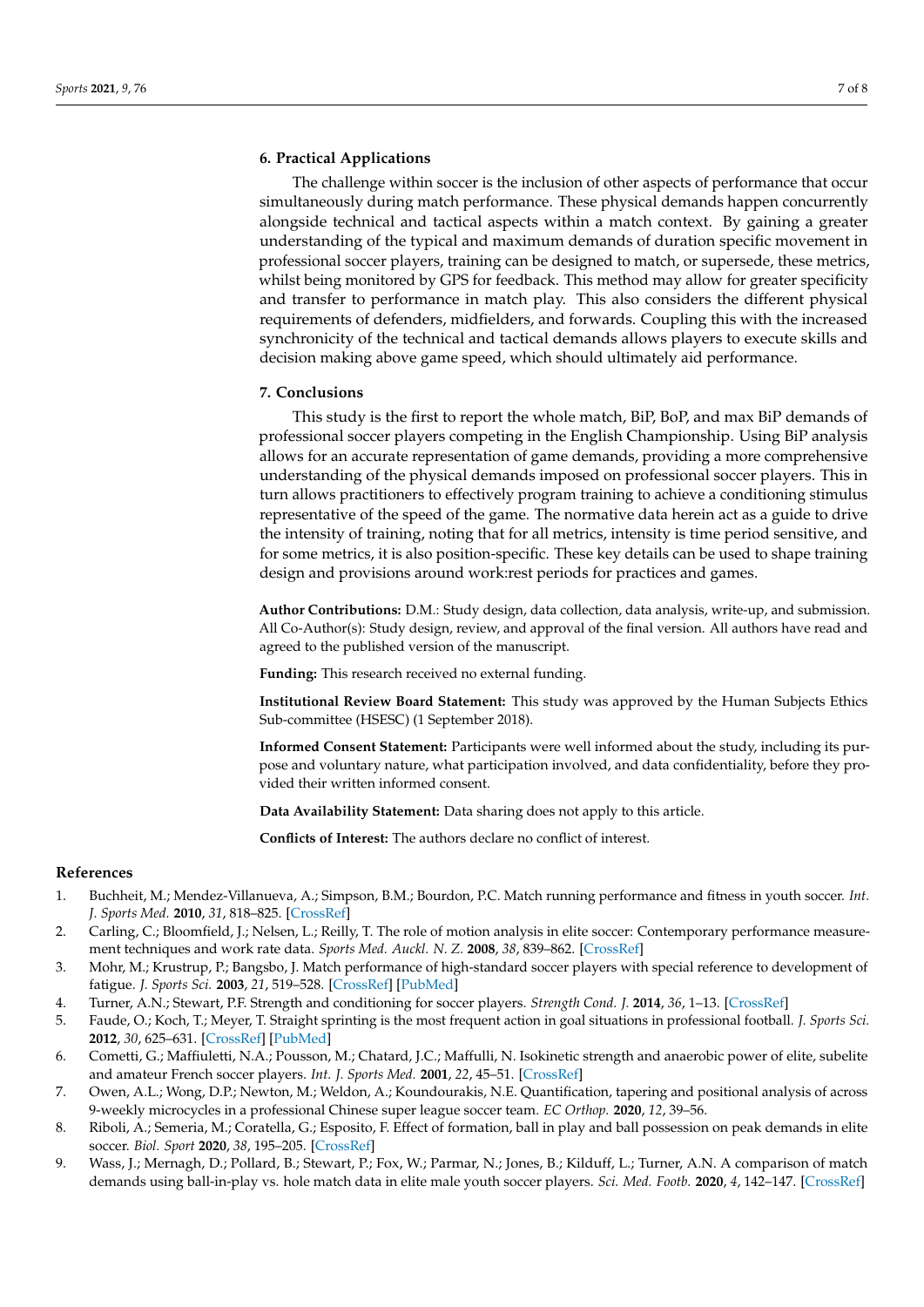#### **6. Practical Applications**

The challenge within soccer is the inclusion of other aspects of performance that occur simultaneously during match performance. These physical demands happen concurrently alongside technical and tactical aspects within a match context. By gaining a greater understanding of the typical and maximum demands of duration specific movement in professional soccer players, training can be designed to match, or supersede, these metrics, whilst being monitored by GPS for feedback. This method may allow for greater specificity and transfer to performance in match play. This also considers the different physical requirements of defenders, midfielders, and forwards. Coupling this with the increased synchronicity of the technical and tactical demands allows players to execute skills and decision making above game speed, which should ultimately aid performance.

#### **7. Conclusions**

This study is the first to report the whole match, BiP, BoP, and max BiP demands of professional soccer players competing in the English Championship. Using BiP analysis allows for an accurate representation of game demands, providing a more comprehensive understanding of the physical demands imposed on professional soccer players. This in turn allows practitioners to effectively program training to achieve a conditioning stimulus representative of the speed of the game. The normative data herein act as a guide to drive the intensity of training, noting that for all metrics, intensity is time period sensitive, and for some metrics, it is also position-specific. These key details can be used to shape training design and provisions around work:rest periods for practices and games.

**Author Contributions:** D.M.: Study design, data collection, data analysis, write-up, and submission. All Co-Author(s): Study design, review, and approval of the final version. All authors have read and agreed to the published version of the manuscript.

**Funding:** This research received no external funding.

**Institutional Review Board Statement:** This study was approved by the Human Subjects Ethics Sub-committee (HSESC) (1 September 2018).

**Informed Consent Statement:** Participants were well informed about the study, including its purpose and voluntary nature, what participation involved, and data confidentiality, before they provided their written informed consent.

**Data Availability Statement:** Data sharing does not apply to this article.

**Conflicts of Interest:** The authors declare no conflict of interest.

#### **References**

- <span id="page-8-0"></span>1. Buchheit, M.; Mendez-Villanueva, A.; Simpson, B.M.; Bourdon, P.C. Match running performance and fitness in youth soccer. *Int. J. Sports Med.* **2010**, *31*, 818–825. [\[CrossRef\]](http://doi.org/10.1055/s-0030-1262838)
- <span id="page-8-1"></span>2. Carling, C.; Bloomfield, J.; Nelsen, L.; Reilly, T. The role of motion analysis in elite soccer: Contemporary performance measurement techniques and work rate data. *Sports Med. Auckl. N. Z.* **2008**, *38*, 839–862. [\[CrossRef\]](http://doi.org/10.2165/00007256-200838100-00004)
- <span id="page-8-8"></span>3. Mohr, M.; Krustrup, P.; Bangsbo, J. Match performance of high-standard soccer players with special reference to development of fatigue. *J. Sports Sci.* **2003**, *21*, 519–528. [\[CrossRef\]](http://doi.org/10.1080/0264041031000071182) [\[PubMed\]](http://www.ncbi.nlm.nih.gov/pubmed/12848386)
- <span id="page-8-2"></span>4. Turner, A.N.; Stewart, P.F. Strength and conditioning for soccer players. *Strength Cond. J.* **2014**, *36*, 1–13. [\[CrossRef\]](http://doi.org/10.1519/SSC.0000000000000054)
- <span id="page-8-3"></span>5. Faude, O.; Koch, T.; Meyer, T. Straight sprinting is the most frequent action in goal situations in professional football. *J. Sports Sci.* **2012**, *30*, 625–631. [\[CrossRef\]](http://doi.org/10.1080/02640414.2012.665940) [\[PubMed\]](http://www.ncbi.nlm.nih.gov/pubmed/22394328)
- <span id="page-8-4"></span>6. Cometti, G.; Maffiuletti, N.A.; Pousson, M.; Chatard, J.C.; Maffulli, N. Isokinetic strength and anaerobic power of elite, subelite and amateur French soccer players. *Int. J. Sports Med.* **2001**, *22*, 45–51. [\[CrossRef\]](http://doi.org/10.1055/s-2001-11331)
- <span id="page-8-5"></span>7. Owen, A.L.; Wong, D.P.; Newton, M.; Weldon, A.; Koundourakis, N.E. Quantification, tapering and positional analysis of across 9-weekly microcycles in a professional Chinese super league soccer team. *EC Orthop.* **2020**, *12*, 39–56.
- <span id="page-8-6"></span>8. Riboli, A.; Semeria, M.; Coratella, G.; Esposito, F. Effect of formation, ball in play and ball possession on peak demands in elite soccer. *Biol. Sport* **2020**, *38*, 195–205. [\[CrossRef\]](http://doi.org/10.5114/biolsport.2020.98450)
- <span id="page-8-7"></span>9. Wass, J.; Mernagh, D.; Pollard, B.; Stewart, P.; Fox, W.; Parmar, N.; Jones, B.; Kilduff, L.; Turner, A.N. A comparison of match demands using ball-in-play vs. hole match data in elite male youth soccer players. *Sci. Med. Footb.* **2020**, *4*, 142–147. [\[CrossRef\]](http://doi.org/10.1080/24733938.2019.1682183)